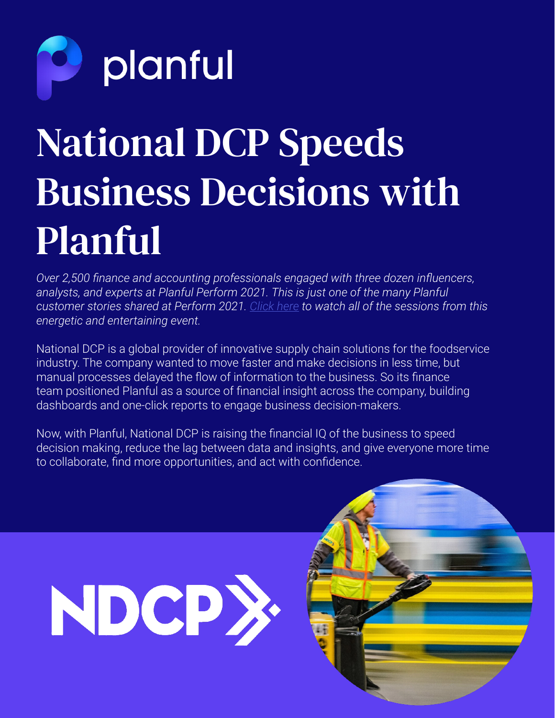

### National DCP Speeds Business Decisions with Planful

*Over 2,500 finance and accounting professionals engaged with three dozen influencers, analysts, and experts at Planful Perform 2021. This is just one of the many Planful customer stories shared at Perform 2021. [Click here](https://planful.com/perform/#l-perform2021) to watch all of the sessions from this energetic and entertaining event.*

National DCP is a global provider of innovative supply chain solutions for the foodservice industry. The company wanted to move faster and make decisions in less time, but manual processes delayed the flow of information to the business. So its finance team positioned Planful as a source of financial insight across the company, building dashboards and one-click reports to engage business decision-makers.

Now, with Planful, National DCP is raising the financial IQ of the business to speed decision making, reduce the lag between data and insights, and give everyone more time to collaborate, find more opportunities, and act with confidence.

# NDCP>

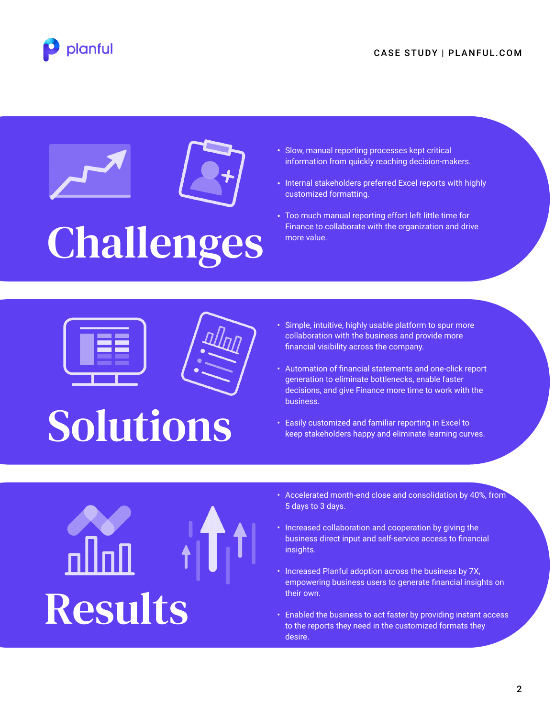





- Slow, manual reporting processes kept critical information from quickly reaching decision-makers.
- Internal stakeholders preferred Excel reports with highly customized formatting.
- Too much manual reporting effort left little time for Finance to collaborate with the organization and drive more value.





### Solutions

- Simple, intuitive, highly usable platform to spur more collaboration with the business and provide more financial visibility across the company.
- Automation of financial statements and one-click report generation to eliminate bottlenecks, enable faster decisions, and give Finance more time to work with the business.
- Easily customized and familiar reporting in Excel to keep stakeholders happy and eliminate learning curves.



- Accelerated month-end close and consolidation by 40%, from 5 days to 3 days.
- Increased collaboration and cooperation by giving the business direct input and self-service access to financial insights.
- Increased Planful adoption across the business by 7X, empowering business users to generate financial insights on their own.
- Enabled the business to act faster by providing instant access •to the reports they need in the customized formats they desire.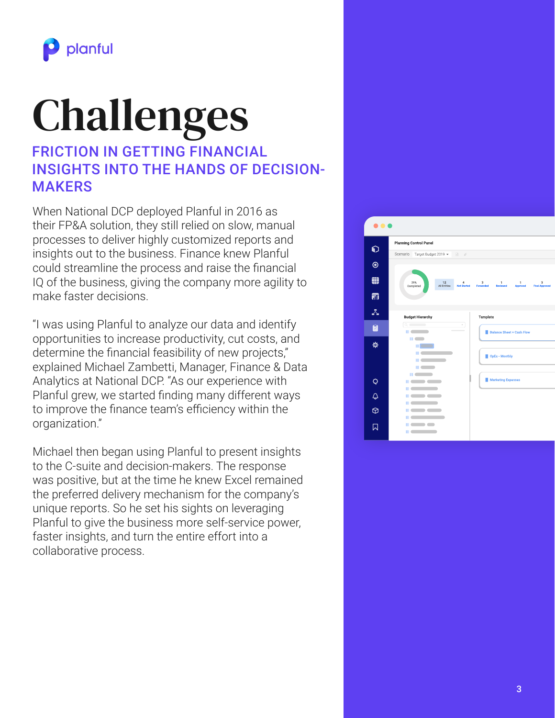

# Challenges

#### FRICTION IN GETTING FINANCIAL INSIGHTS INTO THE HANDS OF DECISION-MAKERS

When National DCP deployed Planful in 2016 as their FP&A solution, they still relied on slow, manual processes to deliver highly customized reports and insights out to the business. Finance knew Planful could streamline the process and raise the financial IQ of the business, giving the company more agility to make faster decisions.

"I was using Planful to analyze our data and identify opportunities to increase productivity, cut costs, and determine the financial feasibility of new projects," explained Michael Zambetti, Manager, Finance & Data Analytics at National DCP. "As our experience with Planful grew, we started finding many different ways to improve the finance team's efficiency within the organization."

Michael then began using Planful to present insights to the C-suite and decision-makers. The response was positive, but at the time he knew Excel remained the preferred delivery mechanism for the company's unique reports. So he set his sights on leveraging Planful to give the business more self-service power, faster insights, and turn the entire effort into a collaborative process.

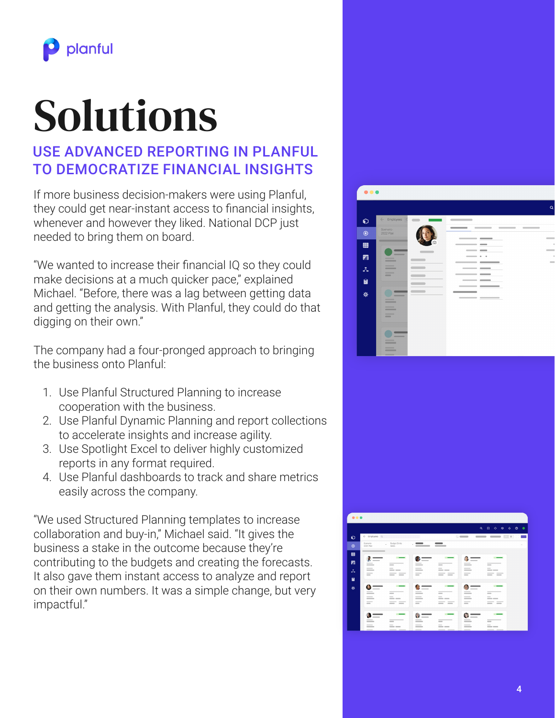

# Solutions

### USE ADVANCED REPORTING IN PLANFUL TO DEMOCRATIZE FINANCIAL INSIGHTS

If more business decision-makers were using Planful, they could get near-instant access to financial insights, whenever and however they liked. National DCP just needed to bring them on board.

"We wanted to increase their financial IQ so they could make decisions at a much quicker pace," explained Michael. "Before, there was a lag between getting data and getting the analysis. With Planful, they could do that digging on their own."

The company had a four-pronged approach to bringing the business onto Planful:

- 1. Use Planful Structured Planning to increase cooperation with the business.
- 2. Use Planful Dynamic Planning and report collections to accelerate insights and increase agility.
- 3. Use Spotlight Excel to deliver highly customized reports in any format required.
- 4. Use Planful dashboards to track and share metrics easily across the company.

"We used Structured Planning templates to increase collaboration and buy-in," Michael said. "It gives the business a stake in the outcome because they're contributing to the budgets and creating the forecasts. It also gave them instant access to analyze and report on their own numbers. It was a simple change, but very impactful."



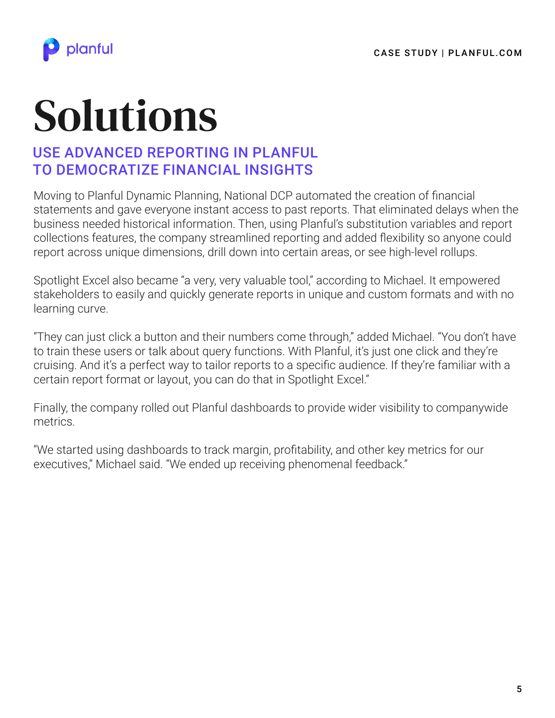

# Solutions

### USE ADVANCED REPORTING IN PLANFUL TO DEMOCRATIZE FINANCIAL INSIGHTS

Moving to Planful Dynamic Planning, National DCP automated the creation of financial statements and gave everyone instant access to past reports. That eliminated delays when the business needed historical information. Then, using Planful's substitution variables and report collections features, the company streamlined reporting and added flexibility so anyone could report across unique dimensions, drill down into certain areas, or see high-level rollups.

Spotlight Excel also became "a very, very valuable tool," according to Michael. It empowered stakeholders to easily and quickly generate reports in unique and custom formats and with no learning curve.

"They can just click a button and their numbers come through," added Michael. "You don't have to train these users or talk about query functions. With Planful, it's just one click and they're cruising. And it's a perfect way to tailor reports to a specific audience. If they're familiar with a certain report format or layout, you can do that in Spotlight Excel."

Finally, the company rolled out Planful dashboards to provide wider visibility to companywide metrics.

"We started using dashboards to track margin, profitability, and other key metrics for our executives," Michael said. "We ended up receiving phenomenal feedback."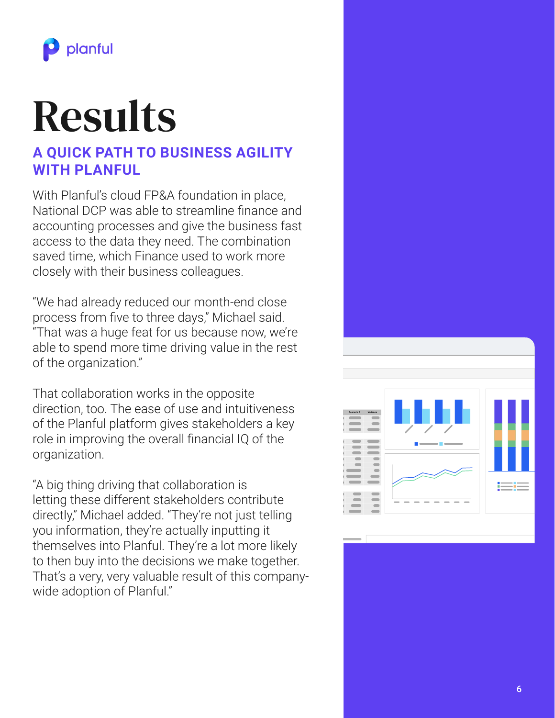

## Results

### **A QUICK PATH TO BUSINESS AGILITY WITH PLANFUL**

With Planful's cloud FP&A foundation in place, National DCP was able to streamline finance and accounting processes and give the business fast access to the data they need. The combination saved time, which Finance used to work more closely with their business colleagues.

"We had already reduced our month-end close process from five to three days," Michael said. "That was a huge feat for us because now, we're able to spend more time driving value in the rest of the organization."

That collaboration works in the opposite direction, too. The ease of use and intuitiveness of the Planful platform gives stakeholders a key role in improving the overall financial IQ of the organization.

"A big thing driving that collaboration is letting these different stakeholders contribute directly," Michael added. "They're not just telling you information, they're actually inputting it themselves into Planful. They're a lot more likely to then buy into the decisions we make together. That's a very, very valuable result of this companywide adoption of Planful."